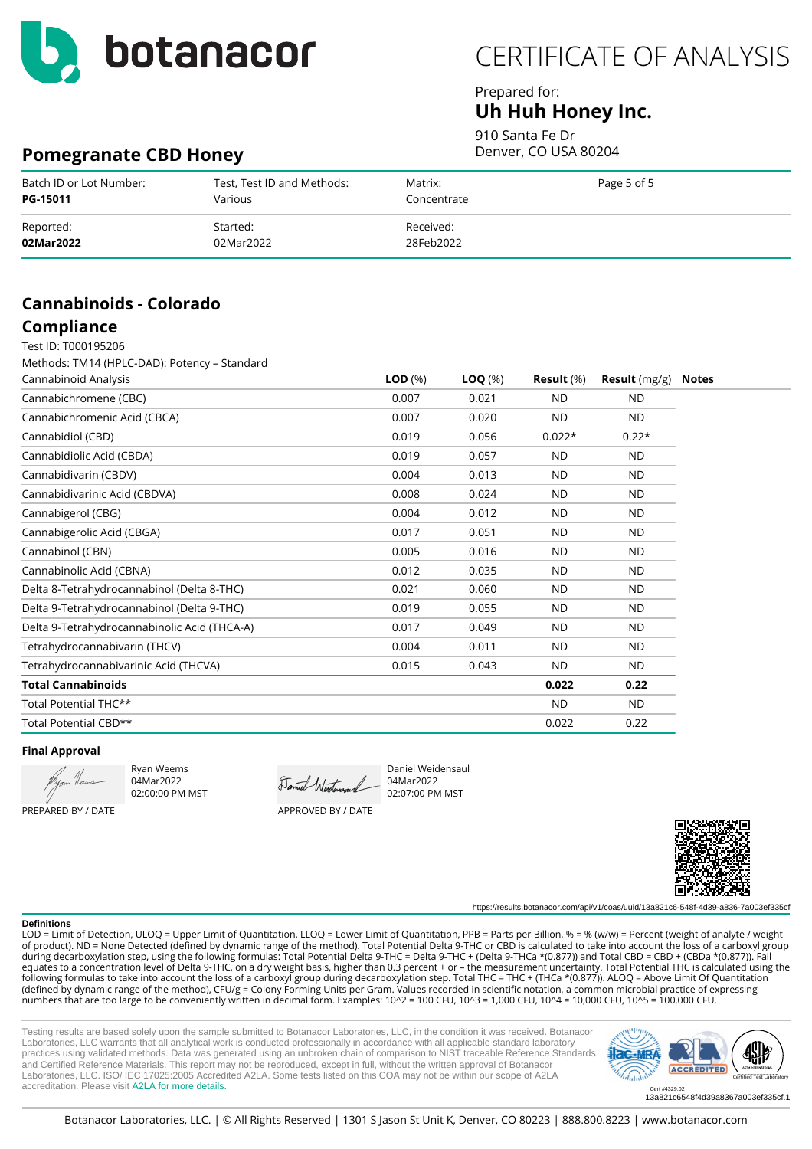

### Prepared for: **Uh Huh Honey Inc.**

910 Santa Fe Dr Denver, CO USA 80204

## **Pomegranate CBD Honey**

| Batch ID or Lot Number: | Test, Test ID and Methods: | Matrix:     | Page 5 of 5 |
|-------------------------|----------------------------|-------------|-------------|
| PG-15011                | Various                    | Concentrate |             |
| Reported:               | Started:                   | Received:   |             |
| 02Mar2022               | 02Mar2022                  | 28Feb2022   |             |

# **Cannabinoids - Colorado**

# **Compliance**

Test ID: T000195206 Methods: TM14 (HPLC-DAD): Potency – Standard

| Cannabinoid Analysis                         | LOD <sub>(%)</sub> | $\textsf{LOQ} \; (\%)$ | Result $(\%)$ | <b>Result</b> $(mg/g)$ | <b>Notes</b> |
|----------------------------------------------|--------------------|------------------------|---------------|------------------------|--------------|
| Cannabichromene (CBC)                        | 0.007              | 0.021                  | <b>ND</b>     | <b>ND</b>              |              |
| Cannabichromenic Acid (CBCA)                 | 0.007              | 0.020                  | <b>ND</b>     | ND.                    |              |
| Cannabidiol (CBD)                            | 0.019              | 0.056                  | $0.022*$      | $0.22*$                |              |
| Cannabidiolic Acid (CBDA)                    | 0.019              | 0.057                  | <b>ND</b>     | <b>ND</b>              |              |
| Cannabidivarin (CBDV)                        | 0.004              | 0.013                  | <b>ND</b>     | <b>ND</b>              |              |
| Cannabidivarinic Acid (CBDVA)                | 0.008              | 0.024                  | <b>ND</b>     | <b>ND</b>              |              |
| Cannabigerol (CBG)                           | 0.004              | 0.012                  | <b>ND</b>     | ND.                    |              |
| Cannabigerolic Acid (CBGA)                   | 0.017              | 0.051                  | <b>ND</b>     | ND.                    |              |
| Cannabinol (CBN)                             | 0.005              | 0.016                  | <b>ND</b>     | ND.                    |              |
| Cannabinolic Acid (CBNA)                     | 0.012              | 0.035                  | <b>ND</b>     | ND.                    |              |
| Delta 8-Tetrahydrocannabinol (Delta 8-THC)   | 0.021              | 0.060                  | <b>ND</b>     | <b>ND</b>              |              |
| Delta 9-Tetrahydrocannabinol (Delta 9-THC)   | 0.019              | 0.055                  | <b>ND</b>     | <b>ND</b>              |              |
| Delta 9-Tetrahydrocannabinolic Acid (THCA-A) | 0.017              | 0.049                  | <b>ND</b>     | <b>ND</b>              |              |
| Tetrahydrocannabivarin (THCV)                | 0.004              | 0.011                  | <b>ND</b>     | <b>ND</b>              |              |
| Tetrahydrocannabivarinic Acid (THCVA)        | 0.015              | 0.043                  | <b>ND</b>     | <b>ND</b>              |              |
| Total Cannabinoids                           |                    |                        | 0.022         | 0.22                   |              |
| Total Potential THC**                        |                    |                        | <b>ND</b>     | ND.                    |              |
| Total Potential CBD**                        |                    |                        | 0.022         | 0.22                   |              |

#### **Final Approval**

PREPARED BY / DATE

Ryan Weems 04Mar2022 02:00:00 PM MST

Daniel Westers

04Mar2022 02:07:00 PM MST

APPROVED BY / DATE



https://results.botanacor.com/api/v1/coas/uuid/13a821c6-548f-4d39-a836-7a003ef335cf

#### **Definitions**

LOD = Limit of Detection, ULOQ = Upper Limit of Quantitation, LLOQ = Lower Limit of Quantitation, PPB = Parts per Billion, % = % (w/w) = Percent (weight of analyte / weight of product). ND = None Detected (defined by dynamic range of the method). Total Potential Delta 9-THC or CBD is calculated to take into account the loss of a carboxyl group during decarboxylation step, using the following formulas: Total Potential Delta 9-THC = Delta 9-THC + (Delta 9-THCa \*(0.877)) and Total CBD = CBD + (CBDa \*(0.877)). Fail equates to a concentration level of Delta 9-THC, on a dry weight basis, higher than 0.3 percent + or – the measurement uncertainty. Total Potential THC is calculated using the following formulas to take into account the loss of a carboxyl group during decarboxylation step. Total THC = THC + (THCa \*(0.877)). ALOQ = Above Limit Of Quantitation (defined by dynamic range of the method), CFU/g = Colony Forming Units per Gram. Values recorded in scientific notation, a common microbial practice of expressing numbers that are too large to be conveniently written in decimal form. Examples: 10^2 = 100 CFU, 10^3 = 1,000 CFU, 10^4 = 10,000 CFU, 10^5 = 100,000 CFU.

Daniel Weidensaul

Testing results are based solely upon the sample submitted to Botanacor Laboratories, LLC, in the condition it was received. Botanacor Laboratories, LLC warrants that all analytical work is conducted professionally in accordance with all applicable standard laboratory practices using validated methods. Data was generated using an unbroken chain of comparison to NIST traceable Reference Standards and Certified Reference Materials. This report may not be reproduced, except in full, without the written approval of Botanacor Laboratories, LLC. ISO/ IEC 17025:2005 Accredited A2LA. Some tests listed on this COA may not be within our scope of A2LA accreditation. Please visit [A2LA for more details.](https://customer.a2la.org/index.cfm?event=directory.detail&labPID=2B1E6818-FC3D-4C8E-9B2F-A9718DA00282)



13a821c6548f4d39a8367a003ef335cf.1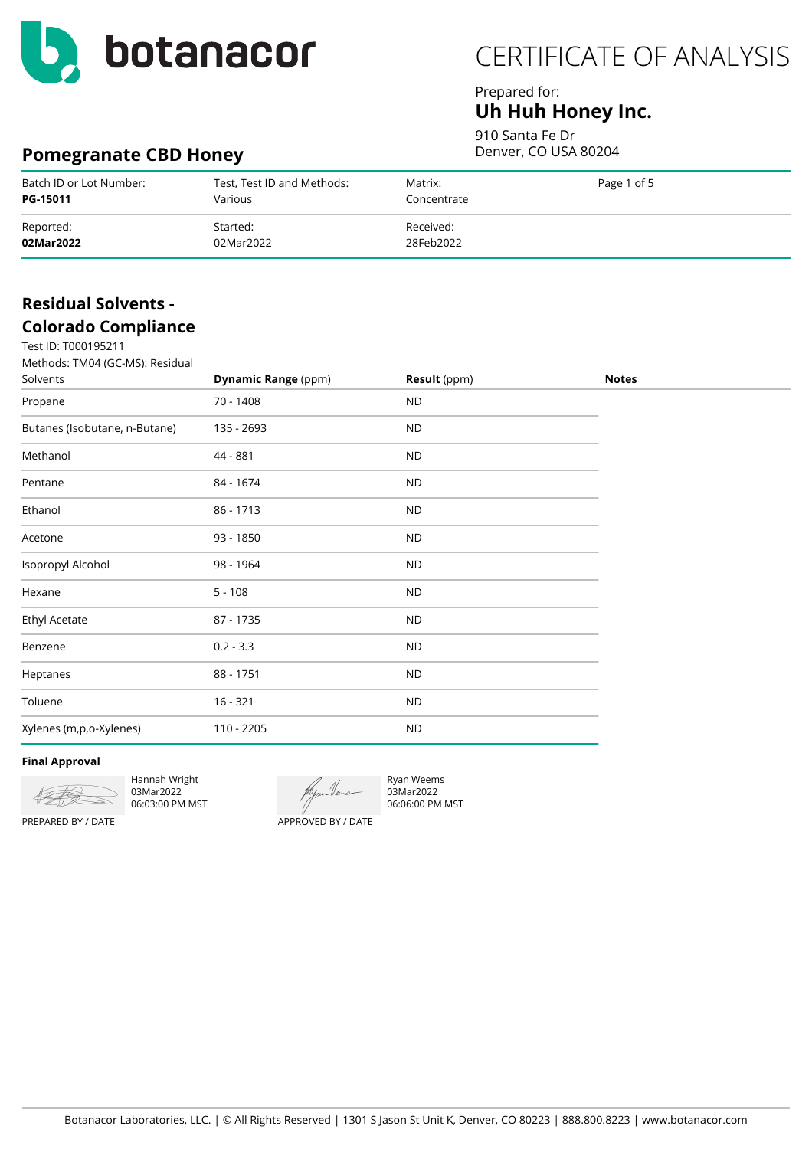

## Prepared for: **Uh Huh Honey Inc.**

910 Santa Fe Dr Denver, CO USA 80204

# **Pomegranate CBD Honey**

| Batch ID or Lot Number: | Test, Test ID and Methods: | Matrix:     | Page 1 of 5 |
|-------------------------|----------------------------|-------------|-------------|
| PG-15011                | Various                    | Concentrate |             |
| Reported:               | Started:                   | Received:   |             |
| 02Mar2022               | 02Mar2022                  | 28Feb2022   |             |

## **Residual Solvents - Colorado Compliance**

 $T_{000105211}$ 

| Test ID: T0001952TT<br>Methods: TM04 (GC-MS): Residual<br>Solvents | <b>Dynamic Range (ppm)</b> | <b>Result</b> (ppm) | <b>Notes</b> |
|--------------------------------------------------------------------|----------------------------|---------------------|--------------|
| Propane                                                            | 70 - 1408                  | <b>ND</b>           |              |
| Butanes (Isobutane, n-Butane)                                      | 135 - 2693                 | <b>ND</b>           |              |
| Methanol                                                           | 44 - 881                   | <b>ND</b>           |              |
| Pentane                                                            | 84 - 1674                  | <b>ND</b>           |              |
| Ethanol                                                            | 86 - 1713                  | <b>ND</b>           |              |
| Acetone                                                            | 93 - 1850                  | <b>ND</b>           |              |
| Isopropyl Alcohol                                                  | 98 - 1964                  | <b>ND</b>           |              |
| Hexane                                                             | $5 - 108$                  | <b>ND</b>           |              |
| Ethyl Acetate                                                      | 87 - 1735                  | $\sf ND$            |              |
| Benzene                                                            | $0.2 - 3.3$                | <b>ND</b>           |              |
| Heptanes                                                           | 88 - 1751                  | <b>ND</b>           |              |
| Toluene                                                            | $16 - 321$                 | <b>ND</b>           |              |
| Xylenes (m,p,o-Xylenes)                                            | 110 - 2205                 | <b>ND</b>           |              |
|                                                                    |                            |                     |              |

#### **Final Approval**



Hannah Wright 03Mar2022 06:03:00 PM MST



Ryan Weems 03Mar2022 06:06:00 PM MST

PREPARED BY / DATE

APPROVED BY / DATE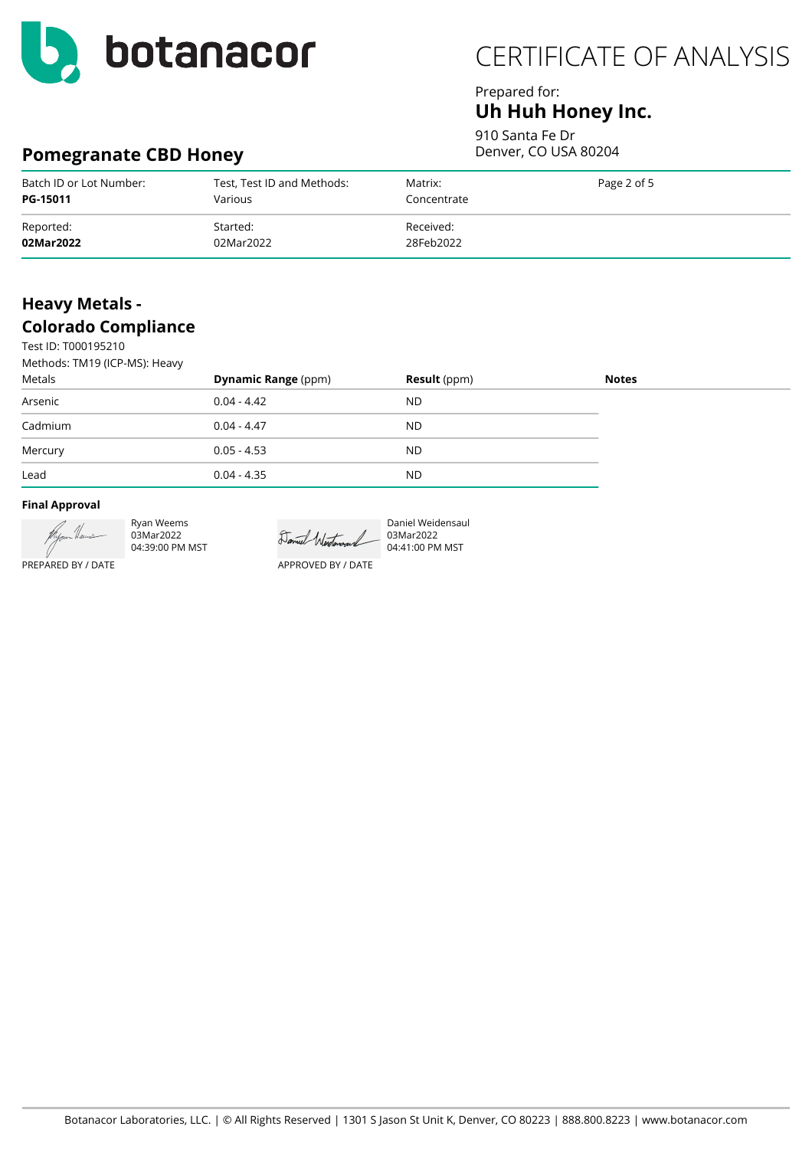

## Prepared for: **Uh Huh Honey Inc.**

910 Santa Fe Dr Denver, CO USA 80204

# **Pomegranate CBD Honey**

| Batch ID or Lot Number: | Test, Test ID and Methods: | Matrix:     | Page 2 of 5 |
|-------------------------|----------------------------|-------------|-------------|
| PG-15011                | Various                    | Concentrate |             |
| Reported:               | Started:                   | Received:   |             |
| 02Mar2022               | 02Mar2022                  | 28Feb2022   |             |

## **Heavy Metals - Colorado Compliance**

Test ID: T000195210 Methods: TM19 (ICP-MS): Heavy

| Methods: TMT9 (ICP-MS): Heavy |                            |                     |              |
|-------------------------------|----------------------------|---------------------|--------------|
| Metals                        | <b>Dynamic Range (ppm)</b> | <b>Result</b> (ppm) | <b>Notes</b> |
| Arsenic                       | $0.04 - 4.42$              | <b>ND</b>           |              |
| Cadmium                       | $0.04 - 4.47$              | <b>ND</b>           |              |
| Mercury                       | $0.05 - 4.53$              | <b>ND</b>           |              |
| Lead                          | $0.04 - 4.35$              | <b>ND</b>           |              |

#### **Final Approval**



Ryan Weems 03Mar2022 04:39:00 PM MST

Daniel Westerand

APPROVED BY / DATE

Daniel Weidensaul 03Mar2022 04:41:00 PM MST

PREPARED BY / DATE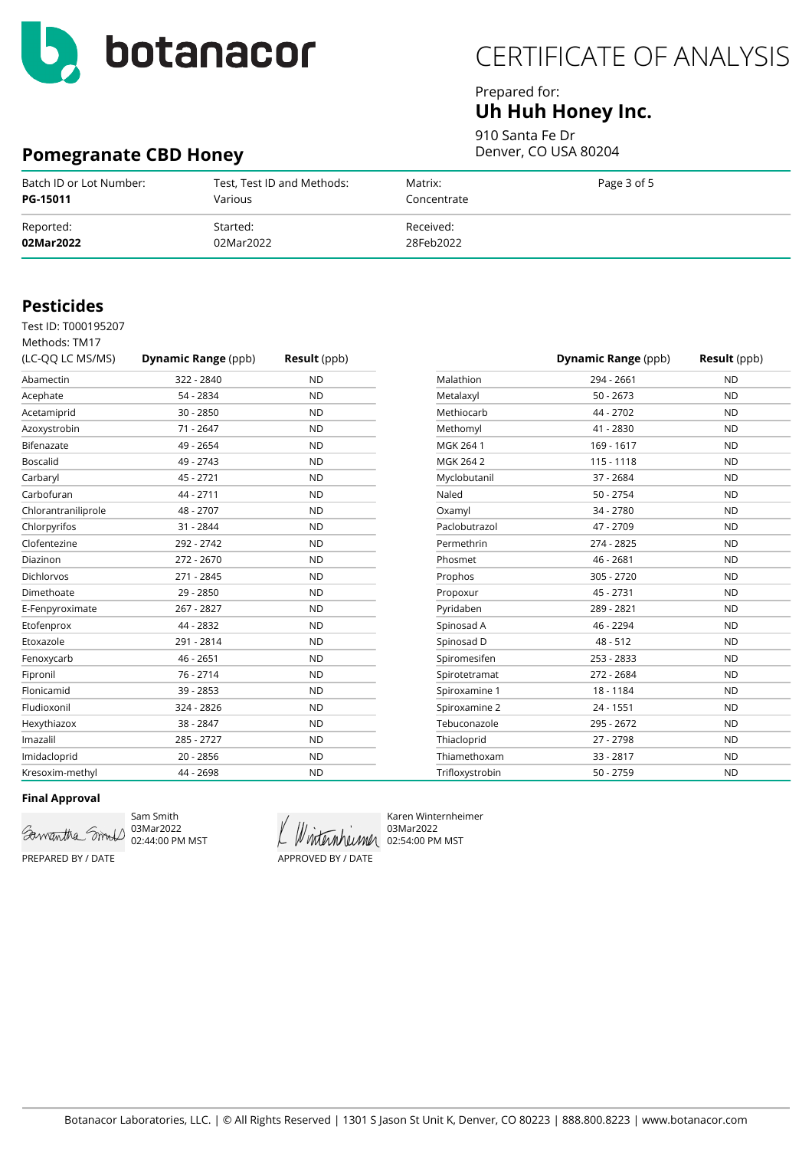

**Pomegranate CBD Honey**

# CERTIFICATE OF ANALYSIS

### Prepared for: **Uh Huh Honey Inc.**

910 Santa Fe Dr

Denver, CO USA 80204

| Batch ID or Lot Number: | Test, Test ID and Methods: | Matrix:     | Page 3 of 5 |
|-------------------------|----------------------------|-------------|-------------|
| <b>PG-15011</b>         | Various                    | Concentrate |             |
| Reported:               | Started:                   | Received:   |             |
| 02Mar2022               | 02Mar2022                  | 28Feb2022   |             |

### **Pesticides**

Test ID: T000195207

| Methods: TM17       |                            |                     |
|---------------------|----------------------------|---------------------|
| (LC-QQ LC MS/MS)    | <b>Dynamic Range (ppb)</b> | <b>Result</b> (ppb) |
| Abamectin           | 322 - 2840                 | <b>ND</b>           |
| Acephate            | 54 - 2834                  | <b>ND</b>           |
| Acetamiprid         | $30 - 2850$                | <b>ND</b>           |
| Azoxystrobin        | 71 - 2647                  | <b>ND</b>           |
| Bifenazate          | 49 - 2654                  | <b>ND</b>           |
| <b>Boscalid</b>     | 49 - 2743                  | <b>ND</b>           |
| Carbaryl            | 45 - 2721                  | <b>ND</b>           |
| Carbofuran          | 44 - 2711                  | <b>ND</b>           |
| Chlorantraniliprole | 48 - 2707                  | <b>ND</b>           |
| Chlorpyrifos        | 31 - 2844                  | <b>ND</b>           |
| Clofentezine        | 292 - 2742                 | <b>ND</b>           |
| Diazinon            | 272 - 2670                 | <b>ND</b>           |
| Dichlorvos          | 271 - 2845                 | <b>ND</b>           |
| Dimethoate          | 29 - 2850                  | <b>ND</b>           |
| E-Fenpyroximate     | 267 - 2827                 | <b>ND</b>           |
| Etofenprox          | 44 - 2832                  | <b>ND</b>           |
| Etoxazole           | 291 - 2814                 | <b>ND</b>           |
| Fenoxycarb          | 46 - 2651                  | <b>ND</b>           |
| Fipronil            | 76 - 2714                  | <b>ND</b>           |
| Flonicamid          | 39 - 2853                  | <b>ND</b>           |
| Fludioxonil         | 324 - 2826                 | <b>ND</b>           |
| Hexythiazox         | 38 - 2847                  | <b>ND</b>           |
| Imazalil            | 285 - 2727                 | <b>ND</b>           |
| Imidacloprid        | $20 - 2856$                | <b>ND</b>           |
| Kresoxim-methyl     | 44 - 2698                  | <b>ND</b>           |

|                 | <b>Dynamic Range</b> (ppb) | <b>Result</b> (ppb) |
|-----------------|----------------------------|---------------------|
| Malathion       | 294 - 2661                 | <b>ND</b>           |
| Metalaxyl       | $50 - 2673$                | <b>ND</b>           |
| Methiocarb      | 44 - 2702                  | <b>ND</b>           |
| Methomyl        | 41 - 2830                  | <b>ND</b>           |
| MGK 264 1       | 169 - 1617                 | <b>ND</b>           |
| MGK 264 2       | 115 - 1118                 | <b>ND</b>           |
| Myclobutanil    | 37 - 2684                  | <b>ND</b>           |
| Naled           | $50 - 2754$                | <b>ND</b>           |
| Oxamyl          | 34 - 2780                  | <b>ND</b>           |
| Paclobutrazol   | 47 - 2709                  | <b>ND</b>           |
| Permethrin      | 274 - 2825                 | <b>ND</b>           |
| Phosmet         | 46 - 2681                  | <b>ND</b>           |
| Prophos         | 305 - 2720                 | <b>ND</b>           |
| Propoxur        | 45 - 2731                  | <b>ND</b>           |
| Pyridaben       | 289 - 2821                 | <b>ND</b>           |
| Spinosad A      | 46 - 2294                  | <b>ND</b>           |
| Spinosad D      | $48 - 512$                 | <b>ND</b>           |
| Spiromesifen    | 253 - 2833                 | <b>ND</b>           |
| Spirotetramat   | 272 - 2684                 | <b>ND</b>           |
| Spiroxamine 1   | 18 - 1184                  | <b>ND</b>           |
| Spiroxamine 2   | $24 - 1551$                | <b>ND</b>           |
| Tebuconazole    | 295 - 2672                 | <b>ND</b>           |
| Thiacloprid     | 27 - 2798                  | <b>ND</b>           |
| Thiamethoxam    | $33 - 2817$                | <b>ND</b>           |
| Trifloxystrobin | $50 - 2759$                | <b>ND</b>           |

### **Final Approval**



Sam Smith 03Mar2022 02:44:00 PM MST

APPROVED BY / DATE

Karen Winternheimer 03Mar2022 Winternheimer 02:54:00 PM MST

PREPARED BY / DATE